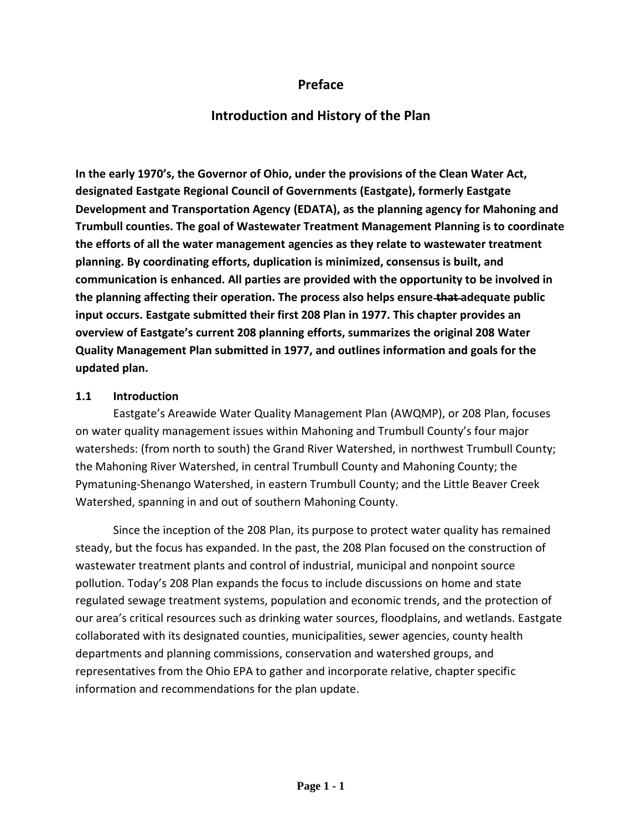## **Preface**

# **Introduction and History of the Plan**

**In the early 1970's, the Governor of Ohio, under the provisions of the Clean Water Act, designated Eastgate Regional Council of Governments (Eastgate), formerly Eastgate Development and Transportation Agency (EDATA), as the planning agency for Mahoning and Trumbull counties. The goal of Wastewater Treatment Management Planning is to coordinate the efforts of all the water management agencies as they relate to wastewater treatment planning. By coordinating efforts, duplication is minimized, consensus is built, and communication is enhanced. All parties are provided with the opportunity to be involved in the planning affecting their operation. The process also helps ensure that adequate public input occurs. Eastgate submitted their first 208 Plan in 1977. This chapter provides an overview of Eastgate's current 208 planning efforts, summarizes the original 208 Water Quality Management Plan submitted in 1977, and outlines information and goals for the updated plan.**

#### **1.1 Introduction**

Eastgate's Areawide Water Quality Management Plan (AWQMP), or 208 Plan, focuses on water quality management issues within Mahoning and Trumbull County's four major watersheds: (from north to south) the Grand River Watershed, in northwest Trumbull County; the Mahoning River Watershed, in central Trumbull County and Mahoning County; the Pymatuning-Shenango Watershed, in eastern Trumbull County; and the Little Beaver Creek Watershed, spanning in and out of southern Mahoning County.

Since the inception of the 208 Plan, its purpose to protect water quality has remained steady, but the focus has expanded. In the past, the 208 Plan focused on the construction of wastewater treatment plants and control of industrial, municipal and nonpoint source pollution. Today's 208 Plan expands the focus to include discussions on home and state regulated sewage treatment systems, population and economic trends, and the protection of our area's critical resources such as drinking water sources, floodplains, and wetlands. Eastgate collaborated with its designated counties, municipalities, sewer agencies, county health departments and planning commissions, conservation and watershed groups, and representatives from the Ohio EPA to gather and incorporate relative, chapter specific information and recommendations for the plan update.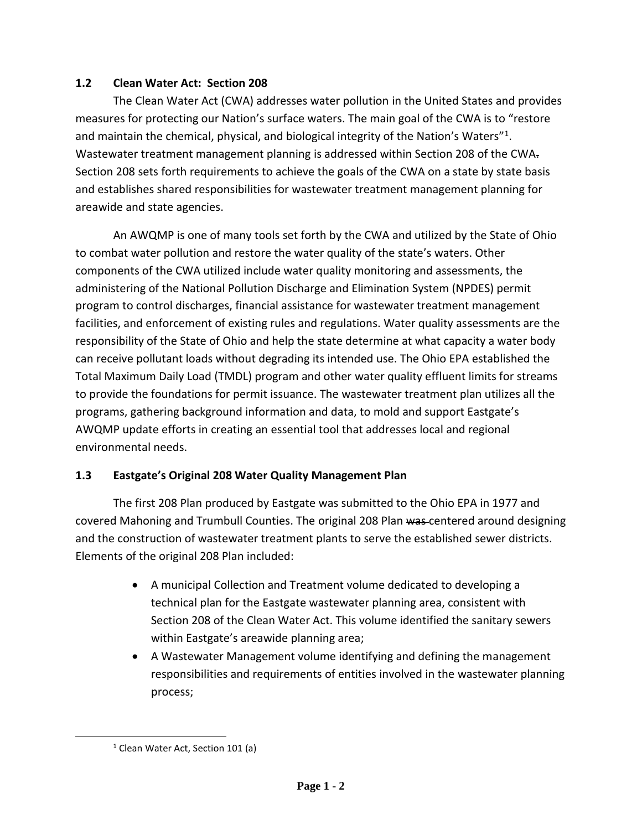### **1.2 Clean Water Act: Section 208**

The Clean Water Act (CWA) addresses water pollution in the United States and provides measures for protecting our Nation's surface waters. The main goal of the CWA is to "restore and maintain the chemical, physical, and biological integrity of the Nation's Waters"<sup>1</sup>. Wastewater treatment management planning is addressed within Section 208 of the CWA. Section 208 sets forth requirements to achieve the goals of the CWA on a state by state basis and establishes shared responsibilities for wastewater treatment management planning for areawide and state agencies.

An AWQMP is one of many tools set forth by the CWA and utilized by the State of Ohio to combat water pollution and restore the water quality of the state's waters. Other components of the CWA utilized include water quality monitoring and assessments, the administering of the National Pollution Discharge and Elimination System (NPDES) permit program to control discharges, financial assistance for wastewater treatment management facilities, and enforcement of existing rules and regulations. Water quality assessments are the responsibility of the State of Ohio and help the state determine at what capacity a water body can receive pollutant loads without degrading its intended use. The Ohio EPA established the Total Maximum Daily Load (TMDL) program and other water quality effluent limits for streams to provide the foundations for permit issuance. The wastewater treatment plan utilizes all the programs, gathering background information and data, to mold and support Eastgate's AWQMP update efforts in creating an essential tool that addresses local and regional environmental needs.

## **1.3 Eastgate's Original 208 Water Quality Management Plan**

The first 208 Plan produced by Eastgate was submitted to the Ohio EPA in 1977 and covered Mahoning and Trumbull Counties. The original 208 Plan was centered around designing and the construction of wastewater treatment plants to serve the established sewer districts. Elements of the original 208 Plan included:

- A municipal Collection and Treatment volume dedicated to developing a technical plan for the Eastgate wastewater planning area, consistent with Section 208 of the Clean Water Act. This volume identified the sanitary sewers within Eastgate's areawide planning area;
- A Wastewater Management volume identifying and defining the management responsibilities and requirements of entities involved in the wastewater planning process;

 $\overline{\phantom{a}}$ 

<sup>&</sup>lt;sup>1</sup> Clean Water Act, Section 101 (a)